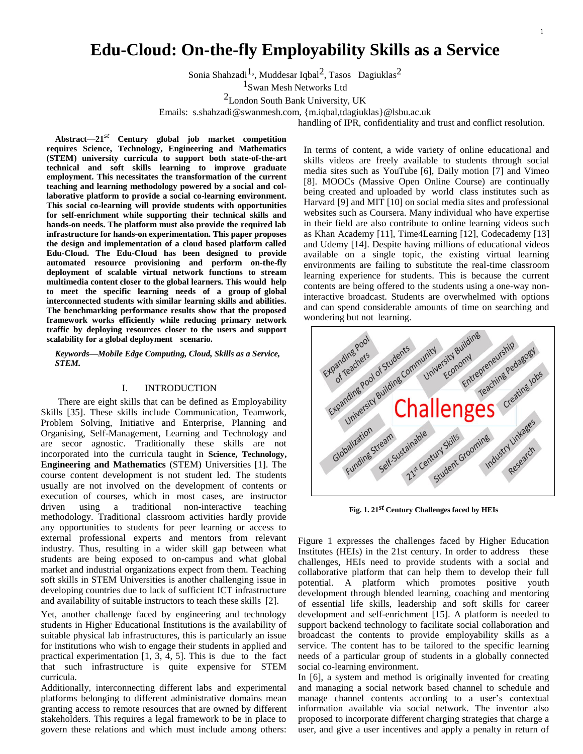$\mathbf{1}$ 

# **Edu-Cloud: On-the-fly Employability Skills as a Service**

Sonia Shahzadi<sup>1</sup>, Muddesar Iqbal<sup>2</sup>, Tasos Dagiuklas<sup>2</sup>

1Swan Mesh Networks Ltd

2London South Bank University, UK

Emails: [s.shahzadi@swanmesh.com,](mailto:s.shahzadi@swanmesh.com) {m.iqbal,tdagiuklas}@lsbu.ac.uk

handling of IPR, confidentiality and trust and conflict resolution.

**Abstract—21***st* **Century global job market competition requires Science, Technology, Engineering and Mathematics (STEM) university curricula to support both state-of-the-art technical and soft skills learning to improve graduate employment. This necessitates the transformation of the current teaching and learning methodology powered by a social and collaborative platform to provide a social co-learning environment. This social co-learning will provide students with opportunities for self-enrichment while supporting their technical skills and hands-on needs. The platform must also provide the required lab infrastructure for hands-on experimentation. This paper proposes the design and implementation of a cloud based platform called Edu-Cloud. The Edu-Cloud has been designed to provide automated resource provisioning and perform on-the-fly deployment of scalable virtual network functions to stream multimedia content closer to the global learners. This would help to meet the specific learning needs of a group of global interconnected students with similar learning skills and abilities. The benchmarking performance results show that the proposed framework works efficiently while reducing primary network traffic by deploying resources closer to the users and support scalability for a global deployment scenario.**

*Keywords***—***Mobile Edge Computing, Cloud, Skills as a Service, STEM.*

# I. INTRODUCTION

There are eight skills that can be defined as Employability Skills [35]. These skills include Communication, Teamwork, Problem Solving, Initiative and Enterprise, Planning and Organising, Self-Management, Learning and Technology and are secor agnostic. Traditionally these skills are not incorporated into the curricula taught in **Science, Technology, Engineering and Mathematics** (STEM) Universities [\[1\].](#page-8-0) The course content development is not student led. The students usually are not involved on the development of contents or execution of courses, which in most cases, are instructor driven using a traditional non-interactive teaching methodology. Traditional classroom activities hardly provide any opportunities to students for peer learning or access to external professional experts and mentors from relevant industry. Thus, resulting in a wider skill gap between what students are being exposed to on-campus and what global market and industrial organizations expect from them. Teaching soft skills in STEM Universities is another challenging issue in developing countries due to lack of sufficient ICT infrastructure and availability of suitable instructors to teach these skills [2].

Yet, another challenge faced by engineering and technology students in Higher Educational Institutions is the availability of suitable physical lab infrastructures, this is particularly an issue for institutions who wish to engage their students in applied and practical experimentation  $[1, 3, 4, 5]$ . This is due to the fact that such infrastructure is quite expensive for STEM curricula.

Additionally, interconnecting different labs and experimental platforms belonging to different administrative domains mean granting access to remote resources that are owned by different stakeholders. This requires a legal framework to be in place to govern these relations and which must include among others: In terms of content, a wide variety of online educational and skills videos are freely available to students through social media sites such as YouTube [6], Daily motion [7] and Vimeo [8]. MOOCs (Massive Open Online Course) are continually being created and uploaded by world class institutes such as Harvard [9] and MIT [10] on social media sites and professional websites such as Coursera. Many individual who have expertise in their field are also contribute to online learning videos such as Khan Academy [11], Time4Learning [12], Codecademy [13] and Udemy [14]. Despite having millions of educational videos available on a single topic, the existing virtual learning environments are failing to substitute the real-time classroom learning experience for students. This is because the current contents are being offered to the students using a one-way noninteractive broadcast. Students are overwhelmed with options and can spend considerable amounts of time on searching and wondering but not learning.



**Fig. 1. 21***st* **Century Challenges faced by HEIs**

Figure 1 expresses the challenges faced by Higher Education Institutes (HEIs) in the 21st century. In order to address these challenges, HEIs need to provide students with a social and collaborative platform that can help them to develop their full potential. A platform which promotes positive youth development through blended learning, coaching and mentoring of essential life skills, leadership and soft skills for career development and self-enrichment [15]. A platform is needed to support backend technology to facilitate social collaboration and broadcast the contents to provide employability skills as a service. The content has to be tailored to the specific learning needs of a particular group of students in a globally connected social co-learning environment.

In [6], a system and method is originally invented for creating and managing a social network based channel to schedule and manage channel contents according to a user's contextual information available via social network. The inventor also proposed to incorporate different charging strategies that charge a user, and give a user incentives and apply a penalty in return of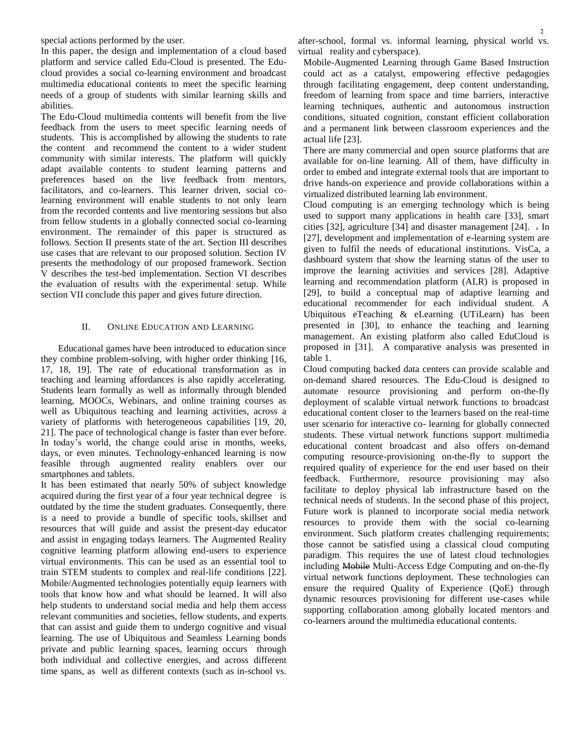special actions performed by the user.

In this paper, the design and implementation of a cloud based platform and service called Edu-Cloud is presented. The Educloud provides a social co-learning environment and broadcast multimedia educational contents to meet the specific learning needs of a group of students with similar learning skills and abilities.

The Edu-Cloud multimedia contents will benefit from the live feedback from the users to meet specific learning needs of students. This is accomplished by allowing the students to rate the content and recommend the content to a wider student community with similar interests. The platform will quickly adapt available contents to student learning patterns and preferences based on the live feedback from mentors, facilitators, and co-learners. This learner driven, social colearning environment will enable students to not only learn from the recorded contents and live mentoring sessions but also from fellow students in a globally connected social co-learning environment. The remainder of this paper is structured as follows. Section II presents state of the art. Section III describes use cases that are relevant to our proposed solution. Section IV presents the methodology of our proposed framework. Section V describes the test-bed implementation. Section VI describes the evaluation of results with the experimental setup. While section VII conclude this paper and gives future direction.

### II. ONLINE EDUCATION AND LEARNING

Educational games have been introduced to education since they combine problem-solving, with higher order thinking [16, 17, 18, 19]. The rate of educational transformation as in teaching and learning affordances is also rapidly accelerating. Students learn formally as well as informally through blended learning, MOOCs, Webinars, and online training courses as well as Ubiquitous teaching and learning activities, across a variety of platforms with heterogeneous capabilities [19, 20, 21]. The pace of technological change is faster than ever before. In today's world, the change could arise in months, weeks, days, or even minutes. Technology-enhanced learning is now feasible through augmented reality enablers over our smartphones and tablets.

It has been estimated that nearly 50% of subject knowledge acquired during the first year of a four year technical degree is outdated by the time the student graduates. Consequently, there is a need to provide a bundle of specific tools, skillset and resources that will guide and assist the present-day educator and assist in engaging todays learners. The Augmented Reality cognitive learning platform allowing end-users to experience virtual environments. This can be used as an essential tool to train STEM students to complex and real-life conditions [22]. Mobile/Augmented technologies potentially equip learners with tools that know how and what should be learned. It will also help students to understand social media and help them access relevant communities and societies, fellow students, and experts that can assist and guide them to undergo cognitive and visual learning. The use of Ubiquitous and Seamless Learning bonds private and public learning spaces, learning occurs through both individual and collective energies, and across different time spans, as well as different contexts (such as in-school vs. after-school, formal vs. informal learning, physical world vs. virtual reality and cyberspace).

Mobile-Augmented Learning through Game Based Instruction could act as a catalyst, empowering effective pedagogies through facilitating engagement, deep content understanding, freedom of learning from space and time barriers, interactive learning techniques, authentic and autonomous instruction conditions, situated cognition, constant efficient collaboration and a permanent link between classroom experiences and the actual life [23].

There are many commercial and open source platforms that are available for on-line learning. All of them, have difficulty in order to embed and integrate external tools that are important to drive hands-on experience and provide collaborations within a virtualized distributed learning lab environment.

Cloud computing is an emerging technology which is being used to support many applications in health care [33], smart cities [32], agriculture [34] and disaster management [24]. . In [27], development and implementation of e-learning system are given to fulfil the needs of educational institutions. VisCa, a dashboard system that show the learning status of the user to improve the learning activities and services [28]. Adaptive learning and recommendation platform (ALR) is proposed in [29], to build a conceptual map of adaptive learning and educational recommender for each individual student. A Ubiquitous eTeaching & eLearning (UTiLearn) has been presented in [30], to enhance the teaching and learning management. An existing platform also called EduCloud is proposed in [31]. A comparative analysis was presented in table 1.

Cloud computing backed data centers can provide scalable and on-demand shared resources. The Edu-Cloud is designed to automate resource provisioning and perform on-the-fly deployment of scalable virtual network functions to broadcast educational content closer to the learners based on the real-time user scenario for interactive co- learning for globally connected students. These virtual network functions support multimedia educational content broadcast and also offers on-demand computing resource-provisioning on-the-fly to support the required quality of experience for the end user based on their feedback. Furthermore, resource provisioning may also facilitate to deploy physical lab infrastructure based on the technical needs of students. In the second phase of this project, Future work is planned to incorporate social media network resources to provide them with the social co-learning environment. Such platform creates challenging requirements; those cannot be satisfied using a classical cloud computing paradigm. This requires the use of latest cloud technologies including Mobile Multi-Access Edge Computing and on-the-fly virtual network functions deployment. These technologies can ensure the required Quality of Experience (QoE) through dynamic resources provisioning for different use-cases while supporting collaboration among globally located mentors and co-learners around the multimedia educational contents.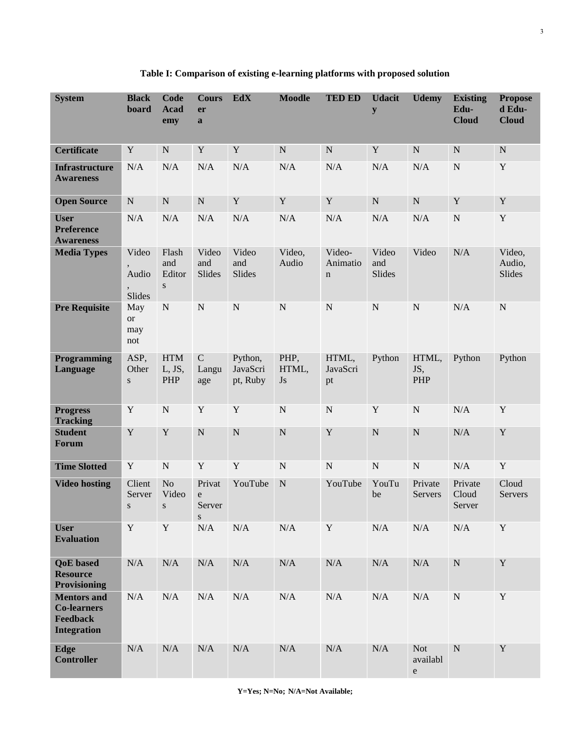| <b>System</b>                                                              | <b>Black</b><br>board                                | <b>Code</b><br><b>Acad</b><br>emy   | <b>Cours</b><br>er<br>a     | <b>EdX</b>                      | <b>Moodle</b>       | <b>TED ED</b>                     | <b>Udacit</b><br>${\bf y}$ | <b>Udemy</b>                        | <b>Existing</b><br>Edu-<br><b>Cloud</b> | <b>Propose</b><br>d Edu-<br><b>Cloud</b> |
|----------------------------------------------------------------------------|------------------------------------------------------|-------------------------------------|-----------------------------|---------------------------------|---------------------|-----------------------------------|----------------------------|-------------------------------------|-----------------------------------------|------------------------------------------|
| <b>Certificate</b>                                                         | Y                                                    | $\mathbf N$                         | Y                           | Y                               | $\mathbf N$         | $\mathbf N$                       | Y                          | ${\bf N}$                           | ${\bf N}$                               | ${\bf N}$                                |
| <b>Infrastructure</b><br><b>Awareness</b>                                  | N/A                                                  | N/A                                 | N/A                         | N/A                             | N/A                 | N/A                               | N/A                        | N/A                                 | ${\bf N}$                               | $\mathbf Y$                              |
| <b>Open Source</b>                                                         | ${\bf N}$                                            | ${\bf N}$                           | ${\bf N}$                   | $\mathbf Y$                     | $\mathbf Y$         | $\mathbf Y$                       | ${\bf N}$                  | ${\bf N}$                           | Y                                       | Y                                        |
| <b>User</b><br><b>Preference</b><br><b>Awareness</b>                       | N/A                                                  | N/A                                 | N/A                         | N/A                             | N/A                 | N/A                               | N/A                        | N/A                                 | ${\bf N}$                               | $\mathbf Y$                              |
| <b>Media Types</b>                                                         | Video<br>Audio<br>$\overline{\phantom{a}}$<br>Slides | Flash<br>and<br>Editor<br>${\bf S}$ | Video<br>and<br>Slides      | Video<br>and<br>Slides          | Video,<br>Audio     | Video-<br>Animatio<br>$\mathbf n$ | Video<br>and<br>Slides     | Video                               | N/A                                     | Video,<br>Audio,<br>Slides               |
| <b>Pre Requisite</b>                                                       | May<br><b>or</b><br>may<br>not                       | ${\bf N}$                           | $\mathbf N$                 | ${\bf N}$                       | $\mathbf N$         | ${\bf N}$                         | ${\bf N}$                  | ${\bf N}$                           | N/A                                     | ${\bf N}$                                |
| Programming<br>Language                                                    | ASP,<br>Other<br>${\bf S}$                           | <b>HTM</b><br>L, JS,<br>PHP         | $\mathbf C$<br>Langu<br>age | Python,<br>JavaScri<br>pt, Ruby | PHP,<br>HTML,<br>Js | HTML,<br>JavaScri<br>pt           | Python                     | HTML,<br>JS,<br>PHP                 | Python                                  | Python                                   |
| <b>Progress</b><br><b>Tracking</b>                                         | Y                                                    | ${\bf N}$                           | $\mathbf Y$                 | $\mathbf Y$                     | $\mathbf N$         | ${\bf N}$                         | Y                          | ${\bf N}$                           | N/A                                     | $\mathbf Y$                              |
| <b>Student</b><br><b>Forum</b>                                             | Y                                                    | $\mathbf Y$                         | ${\bf N}$                   | ${\bf N}$                       | $\mathbf N$         | $\mathbf Y$                       | ${\bf N}$                  | ${\bf N}$                           | N/A                                     | $\mathbf Y$                              |
| <b>Time Slotted</b>                                                        | $\mathbf Y$                                          | ${\bf N}$                           | $\mathbf Y$                 | $\mathbf Y$                     | $\mathbf N$         | ${\bf N}$                         | ${\bf N}$                  | ${\bf N}$                           | N/A                                     | $\mathbf Y$                              |
| <b>Video hosting</b>                                                       | Client<br>Server<br>S                                | No<br>Video<br>S                    | Privat<br>e<br>Server<br>S. | YouTube                         | $\mathbf N$         | YouTube                           | YouTu<br>be                | Private<br>Servers                  | Private<br>Cloud<br>Server              | Cloud<br><b>Servers</b>                  |
| <b>User</b><br><b>Evaluation</b>                                           | $\mathbf Y$                                          | $\mathbf Y$                         | N/A                         | $\rm N/A$                       | $\rm N/A$           | $\mathbf Y$                       | $\rm N/A$                  | $\rm N/A$                           | $\rm N/A$                               | $\mathbf Y$                              |
| <b>QoE</b> based<br><b>Resource</b><br>Provisioning                        | N/A                                                  | N/A                                 | N/A                         | N/A                             | N/A                 | $\rm N/A$                         | N/A                        | N/A                                 | ${\bf N}$                               | $\mathbf Y$                              |
| <b>Mentors and</b><br><b>Co-learners</b><br>Feedback<br><b>Integration</b> | N/A                                                  | $\rm N/A$                           | $\rm N/A$                   | N/A                             | $\rm N/A$           | N/A                               | N/A                        | $\rm N/A$                           | ${\bf N}$                               | $\mathbf Y$                              |
| <b>Edge</b><br><b>Controller</b>                                           | N/A                                                  | $\rm N/A$                           | $\rm N/A$                   | N/A                             | $\rm N/A$           | $\rm N/A$                         | $\rm N/A$                  | <b>Not</b><br>availabl<br>${\rm e}$ | ${\bf N}$                               | $\mathbf Y$                              |

# **Table I: Comparison of existing e-learning platforms with proposed solution**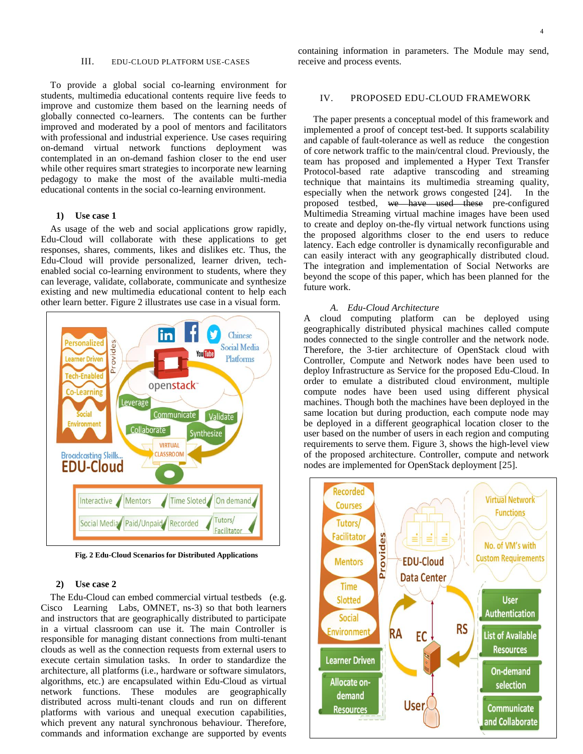#### III. EDU-CLOUD PLATFORM USE-CASES

To provide a global social co-learning environment for students, multimedia educational contents require live feeds to improve and customize them based on the learning needs of globally connected co-learners. The contents can be further improved and moderated by a pool of mentors and facilitators with professional and industrial experience. Use cases requiring on-demand virtual network functions deployment was contemplated in an on-demand fashion closer to the end user while other requires smart strategies to incorporate new learning pedagogy to make the most of the available multi-media educational contents in the social co-learning environment.

# **1) Use case 1**

As usage of the web and social applications grow rapidly, Edu-Cloud will collaborate with these applications to get responses, shares, comments, likes and dislikes etc. Thus, the Edu-Cloud will provide personalized, learner driven, techenabled social co-learning environment to students, where they can leverage, validate, collaborate, communicate and synthesize existing and new multimedia educational content to help each other learn better. Figure 2 illustrates use case in a visual form.



**Fig. 2 Edu-Cloud Scenarios for Distributed Applications**

# **2) Use case 2**

The Edu-Cloud can embed commercial virtual testbeds (e.g. Cisco Learning Labs, OMNET, ns-3) so that both learners and instructors that are geographically distributed to participate in a virtual classroom can use it. The main Controller is responsible for managing distant connections from multi-tenant clouds as well as the connection requests from external users to execute certain simulation tasks. In order to standardize the architecture, all platforms (i.e., hardware or software simulators, algorithms, etc.) are encapsulated within Edu-Cloud as virtual network functions. These modules are geographically distributed across multi-tenant clouds and run on different platforms with various and unequal execution capabilities, which prevent any natural synchronous behaviour. Therefore, commands and information exchange are supported by events containing information in parameters. The Module may send, receive and process events.

# IV. PROPOSED EDU-CLOUD FRAMEWORK

The paper presents a conceptual model of this framework and implemented a proof of concept test-bed. It supports scalability and capable of fault-tolerance as well as reduce the congestion of core network traffic to the main/central cloud. Previously, the team has proposed and implemented a Hyper Text Transfer Protocol-based rate adaptive transcoding and streaming technique that maintains its multimedia streaming quality, especially when the network grows congested [24]. In the proposed testbed, we have used these pre-configured Multimedia Streaming virtual machine images have been used to create and deploy on-the-fly virtual network functions using the proposed algorithms closer to the end users to reduce latency. Each edge controller is dynamically reconfigurable and can easily interact with any geographically distributed cloud. The integration and implementation of Social Networks are beyond the scope of this paper, which has been planned for the future work.

#### *A. Edu-Cloud Architecture*

A cloud computing platform can be deployed using geographically distributed physical machines called compute nodes connected to the single controller and the network node. Therefore, the 3-tier architecture of OpenStack cloud with Controller, Compute and Network nodes have been used to deploy Infrastructure as Service for the proposed Edu-Cloud. In order to emulate a distributed cloud environment, multiple compute nodes have been used using different physical machines. Though both the machines have been deployed in the same location but during production, each compute node may be deployed in a different geographical location closer to the user based on the number of users in each region and computing requirements to serve them. Figure [3,](#page-4-0) shows the high-level view of the proposed architecture. Controller, compute and network nodes are implemented for OpenStack deployment [25].

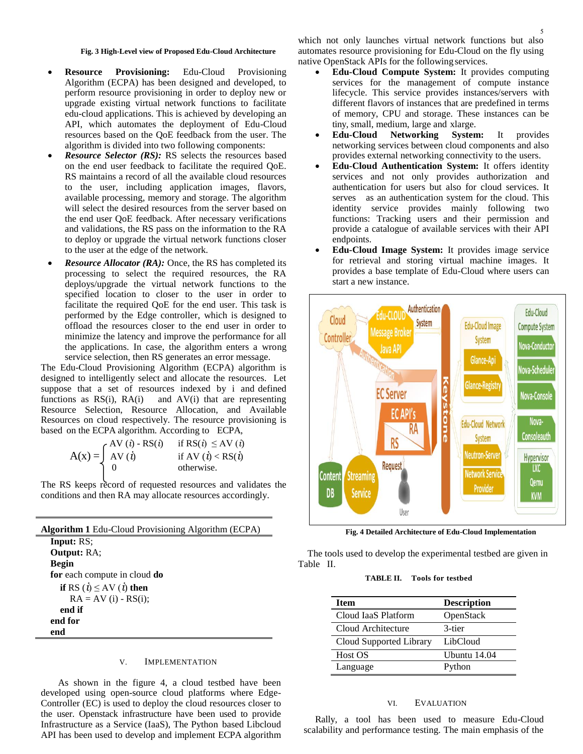#### **Fig. 3 High-Level view of Proposed Edu-Cloud Architecture**

- **Resource Provisioning:** Edu-Cloud Provisioning Algorithm (ECPA) has been designed and developed, to perform resource provisioning in order to deploy new or upgrade existing virtual network functions to facilitate edu-cloud applications. This is achieved by developing an API, which automates the deployment of Edu-Cloud resources based on the QoE feedback from the user. The algorithm is divided into two following components:
- *Resource Selector (RS):* RS selects the resources based on the end user feedback to facilitate the required QoE. RS maintains a record of all the available cloud resources to the user, including application images, flavors, available processing, memory and storage. The algorithm will select the desired resources from the server based on the end user QoE feedback. After necessary verifications and validations, the RS pass on the information to the RA to deploy or upgrade the virtual network functions closer to the user at the edge of the network.
- *Resource Allocator (RA):* Once, the RS has completed its processing to select the required resources, the RA deploys/upgrade the virtual network functions to the specified location to closer to the user in order to facilitate the required QoE for the end user. This task is performed by the Edge controller, which is designed to offload the resources closer to the end user in order to minimize the latency and improve the performance for all the applications. In case, the algorithm enters a wrong service selection, then RS generates an error message.

The Edu-Cloud Provisioning Algorithm (ECPA) algorithm is designed to intelligently select and allocate the resources. Let suppose that a set of resources indexed by i and defined functions as  $RS(i)$ ,  $RA(i)$  and  $AV(i)$  that are representing Resource Selection, Resource Allocation, and Available Resources on cloud respectively. The resource provisioning is based on the ECPA algorithm. According to ECPA,

$$
A(x) = \begin{cases} AV(i) - RS(i) & \text{if } RS(i) \le AV(i) \\ AV(i) & \text{if } AV(i) < RS(i) \\ 0 & \text{otherwise.} \end{cases}
$$

The RS keeps record of requested resources and validates the conditions and then RA may allocate resources accordingly.

| <b>Algorithm 1 Edu-Cloud Provisioning Algorithm (ECPA)</b> |  |  |  |
|------------------------------------------------------------|--|--|--|
| <b>Input:</b> RS;                                          |  |  |  |
| <b>Output:</b> RA;                                         |  |  |  |
| Begin                                                      |  |  |  |
| for each compute in cloud do                               |  |  |  |
| if RS $(\dot{i}) \le AV (\dot{i})$ then                    |  |  |  |
| $RA = AV$ (i) - $RS(i)$ ;                                  |  |  |  |
| end if                                                     |  |  |  |
| end for                                                    |  |  |  |
| end                                                        |  |  |  |

L.

# V. IMPLEMENTATION

As shown in the figure [4,](#page-4-1) a cloud testbed have been developed using open-source cloud platforms where Edge-Controller (EC) is used to deploy the cloud resources closer to the user. Openstack infrastructure have been used to provide Infrastructure as a Service (IaaS), The Python based Libcloud API has been used to develop and implement ECPA algorithm which not only launches virtual network functions but also automates resource provisioning for Edu-Cloud on the fly using native OpenStack APIs for the following services.

- <span id="page-4-1"></span> **Edu-Cloud Compute System:** It provides computing services for the management of compute instance lifecycle. This service provides instances/servers with different flavors of instances that are predefined in terms of memory, CPU and storage. These instances can be tiny, small, medium, large and xlarge.
- **Edu-Cloud Networking System:** It provides networking services between cloud components and also provides external networking connectivity to the users.
- **Edu-Cloud Authentication System:** It offers identity services and not only provides authorization and authentication for users but also for cloud services. It serves as an authentication system for the cloud. This identity service provides mainly following two functions: Tracking users and their permission and provide a catalogue of available services with their API endpoints.
- **Edu-Cloud Image System:** It provides image service for retrieval and storing virtual machine images. It provides a base template of Edu-Cloud where users can start a new instance.



**Fig. 4 Detailed Architecture of Edu-Cloud Implementation**

The tools used to develop the experimental testbed are given in Table [II.](#page-5-0)

#### **TABLE II. Tools for testbed**

| <b>Item</b>             | <b>Description</b> |
|-------------------------|--------------------|
| Cloud IaaS Platform     | OpenStack          |
| Cloud Architecture      | 3-tier             |
| Cloud Supported Library | LibCloud           |
| Host OS                 | Ubuntu 14.04       |
| Language                | Python             |

#### VI. EVALUATION

<span id="page-4-0"></span>Rally, a tool has been used to measure Edu-Cloud scalability and performance testing. The main emphasis of the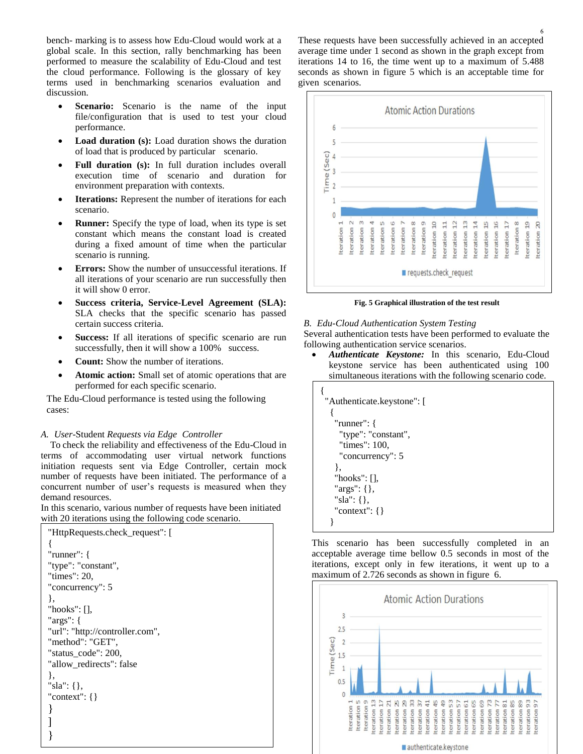bench- marking is to assess how Edu-Cloud would work at a global scale. In this section, rally benchmarking has been performed to measure the scalability of Edu-Cloud and test the cloud performance. Following is the glossary of key terms used in benchmarking scenarios evaluation and discussion.

- **Scenario:** Scenario is the name of the input file/configuration that is used to test your cloud performance.
- Load duration (s): Load duration shows the duration of load that is produced by particular scenario.
- **Full duration (s):** In full duration includes overall execution time of scenario and duration for environment preparation with contexts.
- **Iterations:** Represent the number of iterations for each scenario.
- **Runner:** Specify the type of load, when its type is set constant which means the constant load is created during a fixed amount of time when the particular scenario is running.
- **Errors:** Show the number of unsuccessful iterations. If all iterations of your scenario are run successfully then it will show 0 error.
- **Success criteria, Service-Level Agreement (SLA):**  SLA checks that the specific scenario has passed certain success criteria.
- **Success:** If all iterations of specific scenario are run successfully, then it will show a 100% success.
- **Count:** Show the number of iterations.
- **Atomic action:** Small set of atomic operations that are performed for each specific scenario.

The Edu-Cloud performance is tested using the following cases:

# *A. User*-Student *Requests via Edge Controller*

To check the reliability and effectiveness of the Edu-Cloud in terms of accommodating user virtual network functions initiation requests sent via Edge Controller, certain mock number of requests have been initiated. The performance of a concurrent number of user's requests is measured when they demand resources.

In this scenario, various number of requests have been initiated with 20 iterations using the following code scenario.

```
"HttpRequests.check_request": [
{
"runner": {
"type": "constant",
"times": 20,
"concurrency": 5
},
"hooks": [],
"args": {
"url": "http://controller.com",
"method": "GET",
"status_code": 200,
"allow_redirects": false
},
"sla": {},
"context": {}
}
]
```
}

These requests have been successfully achieved in an accepted average time under 1 second as shown in the graph except from iterations 14 to 16, the time went up to a maximum of 5.488 seconds as shown in figure 5 which is an acceptable time for given scenarios.



**Fig. 5 Graphical illustration of the test result**

# *B. Edu-Cloud Authentication System Testing*

Several authentication tests have been performed to evaluate the following authentication service scenarios.

 *Authenticate Keystone:* In this scenario, Edu-Cloud keystone service has been authenticated using 100 simultaneous iterations with the following scenario code.

<span id="page-5-0"></span>

This scenario has been successfully completed in an acceptable average time bellow 0.5 seconds in most of the iterations, except only in few iterations, it went up to a maximum of 2.726 seconds as shown in figure 6.

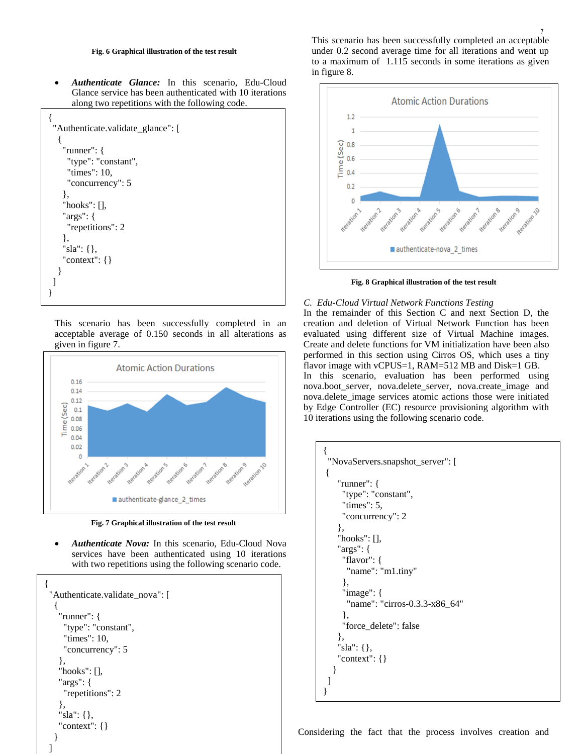#### **Fig. 6 Graphical illustration of the test result**

 *Authenticate Glance:* In this scenario, Edu-Cloud Glance service has been authenticated with 10 iterations along two repetitions with the following code.

```
{
  "Authenticate.validate_glance": [
   \mathbf{f} "runner": {
      "type": "constant", 
      "times": 10, 
       "concurrency": 5
     }, 
     "hooks": [], 
     "args": {
       "repetitions": 2
     }, 
     "sla": {}, 
     "context": {}
    }
 ]
}
```
This scenario has been successfully completed in an acceptable average of 0.150 seconds in all alterations as given in figure 7.



**Fig. 7 Graphical illustration of the test result**

 *Authenticate Nova:* In this scenario, Edu-Cloud Nova services have been authenticated using 10 iterations with two repetitions using the following scenario code.

```
{
  "Authenticate.validate_nova": [
   {
     "runner": {
      "type": "constant", 
      "times": 10, 
      "concurrency": 5
     }, 
    "hooks": [], 
     "args": {
      "repetitions": 2
     }, 
     "sla": {}, 
     "context": {}
 }
```
]



**Fig. 8 Graphical illustration of the test result**

# *C. Edu-Cloud Virtual Network Functions Testing*

In the remainder of this Section C and next Section D, the creation and deletion of Virtual Network Function has been evaluated using different size of Virtual Machine images. Create and delete functions for VM initialization have been also performed in this section using Cirros OS, which uses a tiny flavor image with vCPUS=1, RAM=512 MB and Disk=1 GB. In this scenario, evaluation has been performed using nova.boot\_server, nova.delete\_server, nova.create\_image and nova.delete image services atomic actions those were initiated by Edge Controller (EC) resource provisioning algorithm with 10 iterations using the following scenario code.

```
{
  "NovaServers.snapshot_server": [
{
     "runner": {
      "type": "constant", 
      "times": 5, 
      "concurrency": 2
     }, 
     "hooks": [], 
     "args": {
      "flavor": {
        "name": "m1.tiny"
      }, 
      "image": {
        "name": "cirros-0.3.3-x86_64"
      }, 
      "force_delete": false
     }, 
     "sla": {}, 
     "context": {}
   }
 ]
}
```
Considering the fact that the process involves creation and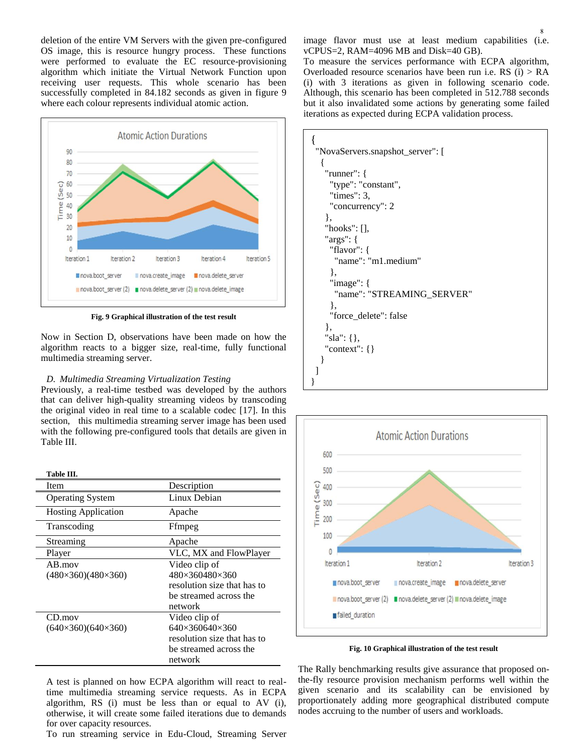deletion of the entire VM Servers with the given pre-configured OS image, this is resource hungry process. These functions were performed to evaluate the EC resource-provisioning algorithm which initiate the Virtual Network Function upon receiving user requests. This whole scenario has been successfully completed in 84.182 seconds as given in figure 9 where each colour represents individual atomic action.



**Fig. 9 Graphical illustration of the test result**

Now in Section D, observations have been made on how the algorithm reacts to a bigger size, real-time, fully functional multimedia streaming server.

# *D. Multimedia Streaming Virtualization Testing*

Previously, a real-time testbed was developed by the authors that can deliver high-quality streaming videos by transcoding the original video in real time to a scalable codec [17]. In this section, this multimedia streaming server image has been used with the following pre-configured tools that details are given in Table III.

| Table III.                                  |                                                                                                                 |
|---------------------------------------------|-----------------------------------------------------------------------------------------------------------------|
| Item                                        | Description                                                                                                     |
| <b>Operating System</b>                     | Linux Debian                                                                                                    |
| <b>Hosting Application</b>                  | Apache                                                                                                          |
| Transcoding                                 | Ffmpeg                                                                                                          |
| Streaming                                   | Apache                                                                                                          |
| Player                                      | VLC, MX and FlowPlayer                                                                                          |
| $AB$ mov<br>$(480\times360)(480\times360)$  | Video clip of<br>480×360480×360<br>resolution size that has to<br>be streamed across the<br>network             |
| $CD$ .mov<br>$(640\times360)(640\times360)$ | Video clip of<br>$640\times360640\times360$<br>resolution size that has to<br>be streamed across the<br>network |

A test is planned on how ECPA algorithm will react to realtime multimedia streaming service requests. As in ECPA algorithm, RS (i) must be less than or equal to AV (i), otherwise, it will create some failed iterations due to demands for over capacity resources.

To run streaming service in Edu-Cloud, Streaming Server

image flavor must use at least medium capabilities (i.e. vCPUS=2, RAM=4096 MB and Disk=40 GB).

 $\overline{8}$ 

To measure the services performance with ECPA algorithm, Overloaded resource scenarios have been run i.e. RS (i) > RA (i) with 3 iterations as given in following scenario code. Although, this scenario has been completed in 512.788 seconds but it also invalidated some actions by generating some failed iterations as expected during ECPA validation process.

| "NovaServers.snapshot_server": [ |
|----------------------------------|
|                                  |
| "runner": $\{$                   |
| "type": "constant",              |
| "times": $3$ ,                   |
| "concurrency": 2                 |
| $\}$ ,                           |
| "hooks": $[]$ ,                  |
| " $args"$ : {                    |
| "flavor": {                      |
| "name": "m1.medium"              |
| $\},$                            |
| "image": $\{$                    |
| "name": "STREAMING_SERVER"       |
| $\}$ ,                           |
| "force_delete": false            |
| $\},$                            |
| "sla": { },                      |
| "context": $\{\}$                |
|                                  |
|                                  |
|                                  |



**Fig. 10 Graphical illustration of the test result**

The Rally benchmarking results give assurance that proposed onthe-fly resource provision mechanism performs well within the given scenario and its scalability can be envisioned by proportionately adding more geographical distributed compute nodes accruing to the number of users and workloads.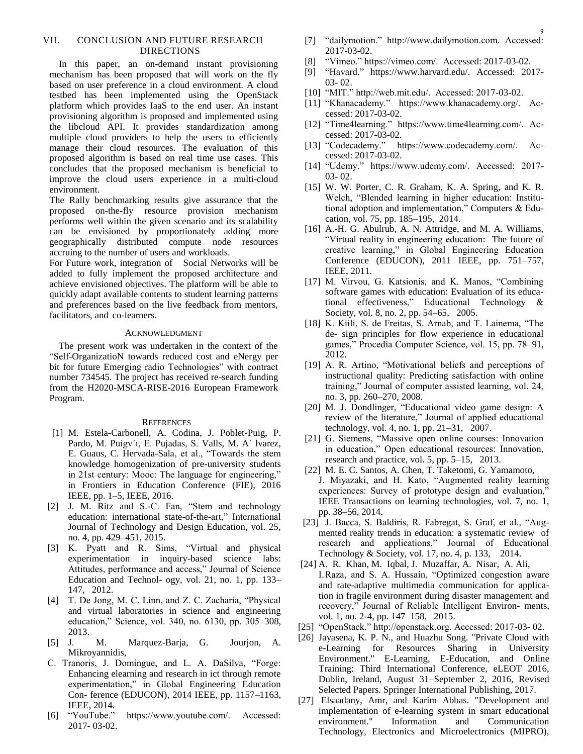# VII. CONCLUSION AND FUTURE RESEARCH DIRECTIONS

In this paper, an on-demand instant provisioning mechanism has been proposed that will work on the fly based on user preference in a cloud environment. A cloud testbed has been implemented using the OpenStack platform which provides IaaS to the end user. An instant provisioning algorithm is proposed and implemented using the libcloud API. It provides standardization among multiple cloud providers to help the users to efficiently manage their cloud resources. The evaluation of this proposed algorithm is based on real time use cases. This concludes that the proposed mechanism is beneficial to improve the cloud users experience in a multi-cloud environment.

The Rally benchmarking results give assurance that the proposed on-the-fly resource provision mechanism performs well within the given scenario and its scalability can be envisioned by proportionately adding more geographically distributed compute node resources accruing to the number of users and workloads.

For Future work, integration of Social Networks will be added to fully implement the proposed architecture and achieve envisioned objectives. The platform will be able to quickly adapt available contents to student learning patterns and preferences based on the live feedback from mentors, facilitators, and co-learners.

#### ACKNOWLEDGMENT

The present work was undertaken in the context of the "Self-OrganizatioN towards reduced cost and eNergy per bit for future Emerging radio Technologies" with contract number 734545. The project has received re-search funding from the H2020-MSCA-RISE-2016 European Framework Program.

#### **REFERENCES**

- <span id="page-8-0"></span>[1] M. Estela-Carbonell, A. Codina, J. Poblet-Puig, P. Pardo, M. Puigv´ı, E. Pujadas, S. Valls, M. A´ lvarez, E. Guaus, C. Hervada-Sala, et al., "Towards the stem knowledge homogenization of pre-university students in 21st century: Mooc: The language for engineering," in Frontiers in Education Conference (FIE), 2016 IEEE, pp. 1–5, IEEE, 2016.
- [2] J. M. Ritz and S.-C. Fan, "Stem and technology education: international state-of-the-art," International Journal of Technology and Design Education, vol. 25, no. 4, pp. 429–451, 2015.
- [3] K. Pyatt and R. Sims, "Virtual and physical experimentation in inquiry-based science labs: Attitudes, performance and access," Journal of Science Education and Technol- ogy, vol. 21, no. 1, pp. 133– 147, 2012.
- [4] T. De Jong, M. C. Linn, and Z. C. Zacharia, "Physical and virtual laboratories in science and engineering education," Science, vol. 340, no. 6130, pp. 305–308, 2013.
- [5] J. M. Marquez-Barja, G. Jourjon, A. Mikroyannidis,
- C. Tranoris, J. Domingue, and L. A. DaSilva, "Forge: Enhancing elearning and research in ict through remote experimentation," in Global Engineering Education Con- ference (EDUCON), 2014 IEEE, pp. 1157–1163, IEEE, 2014.
- [6] "YouTube." https://www.youtube.com/. Accessed: 2017- 03-02.
- [7] "dailymotion." http://www.dailymotion.com. Accessed: 2017-03-02.
- [8] "Vimeo." https://vimeo.com/. Accessed: 2017-03-02.
- [9] "Havard." [https://www.harvard.edu/.](https://www.harvard.edu/) Accessed: 2017- 03- 02.
- [10] "MIT." http://web.mit.edu/. Accessed: 2017-03-02.
- [11] "Khanacademy." https://www.khanacademy.org/. Accessed: 2017-03-02.
- [12] "Time4learning." https://www.time4learning.com/. Accessed: 2017-03-02.
- [13] "Codecademy." https://www.codecademy.com/. Accessed: 2017-03-02.
- [14] "Udemy." https://www.udemy.com/. Accessed: 2017- 03- 02.
- [15] W. W. Porter, C. R. Graham, K. A. Spring, and K. R. Welch, "Blended learning in higher education: Institutional adoption and implementation," Computers & Education, vol. 75, pp. 185–195, 2014.
- [16] A.-H. G. Abulrub, A. N. Attridge, and M. A. Williams, "Virtual reality in engineering education: The future of creative learning," in Global Engineering Education Conference (EDUCON), 2011 IEEE, pp. 751–757, IEEE, 2011.
- [17] M. Virvou, G. Katsionis, and K. Manos, "Combining software games with education: Evaluation of its educational effectiveness," Educational Technology & Society, vol. 8, no. 2, pp. 54–65, 2005.
- [18] K. Kiili, S. de Freitas, S. Arnab, and T. Lainema, "The de- sign principles for flow experience in educational games," Procedia Computer Science, vol. 15, pp. 78–91, 2012.
- [19] A. R. Artino, "Motivational beliefs and perceptions of instructional quality: Predicting satisfaction with online training," Journal of computer assisted learning, vol. 24, no. 3, pp. 260–270, 2008.
- [20] M. J. Dondlinger, "Educational video game design: A review of the literature," Journal of applied educational technology, vol. 4, no. 1, pp. 21–31, 2007.
- [21] G. Siemens, "Massive open online courses: Innovation in education," Open educational resources: Innovation, research and practice, vol. 5, pp. 5–15, 2013.
- [22] M. E. C. Santos, A. Chen, T. Taketomi, G. Yamamoto, J. Miyazaki, and H. Kato, "Augmented reality learning experiences: Survey of prototype design and evaluation," IEEE Transactions on learning technologies, vol. 7, no. 1, pp. 38–56, 2014.
- [23] J. Bacca, S. Baldiris, R. Fabregat, S. Graf, et al., "Augmented reality trends in education: a systematic review of research and applications," Journal of Educational Technology & Society, vol. 17, no. 4, p. 133, 2014.
- [24] A. R. Khan, M. Iqbal, J. Muzaffar, A. Nisar, A. Ali, I.Raza, and S. A. Hussain, "Optimized congestion aware and rate-adaptive multimedia communication for application in fragile environment during disaster management and recovery," Journal of Reliable Intelligent Environ- ments, vol. 1, no. 2-4, pp. 147–158, 2015.
- [25] "OpenStack." http://openstack.org. Accessed: 2017-03- 02.
- [26] Jayasena, K. P. N., and Huazhu Song. "Private Cloud with e-Learning for Resources Sharing in University Environment." E-Learning, E-Education, and Online Training: Third International Conference, eLEOT 2016, Dublin, Ireland, August 31–September 2, 2016, Revised Selected Papers. Springer International Publishing, 2017.
- [27] Elsaadany, Amr, and Karim Abbas. "Development and implementation of e-learning system in smart educational environment." Information and Communication Technology, Electronics and Microelectronics (MIPRO),